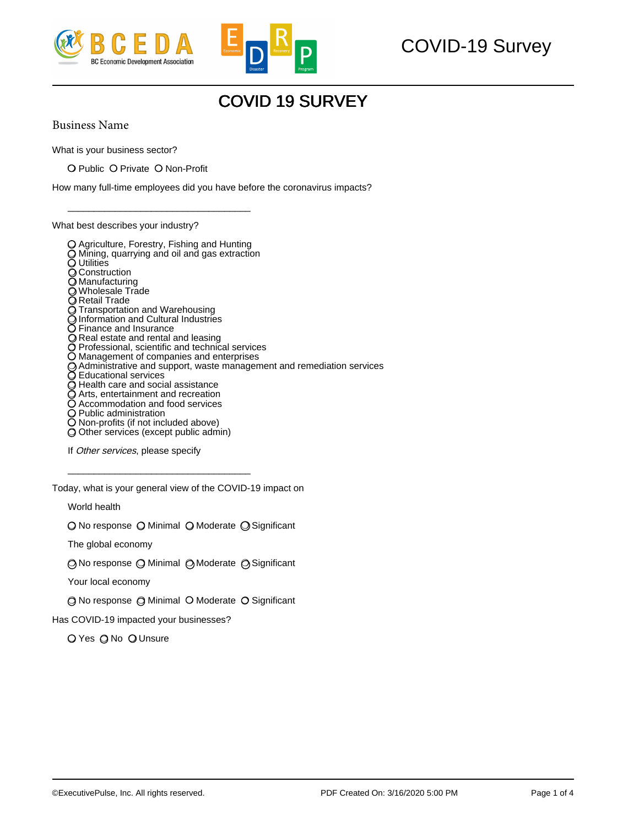



## COVID-19 Survey

## COVID 19 SURVEY

Business Name

What is your business sector?

❍ Public ❍ Private ❍ Non-Profit

\_\_\_\_\_\_\_\_\_\_\_\_\_\_\_\_\_\_\_\_\_\_\_\_\_\_\_\_\_\_\_\_\_\_\_

How many full-time employees did you have before the coronavirus impacts?

What best describes your industry?



Today, what is your general view of the COVID-19 impact on

\_\_\_\_\_\_\_\_\_\_\_\_\_\_\_\_\_\_\_\_\_\_\_\_\_\_\_\_\_\_\_\_\_\_\_

World health

❍ No response ❍ Minimal ❍ Moderate ❍ Significant

The global economy

❍ No response ❍ Minimal ❍ Moderate ❍ Significant

Your local economy

❍ No response ❍ Minimal ❍ Moderate ❍ Significant

Has COVID-19 impacted your businesses?

O Yes O No O Unsure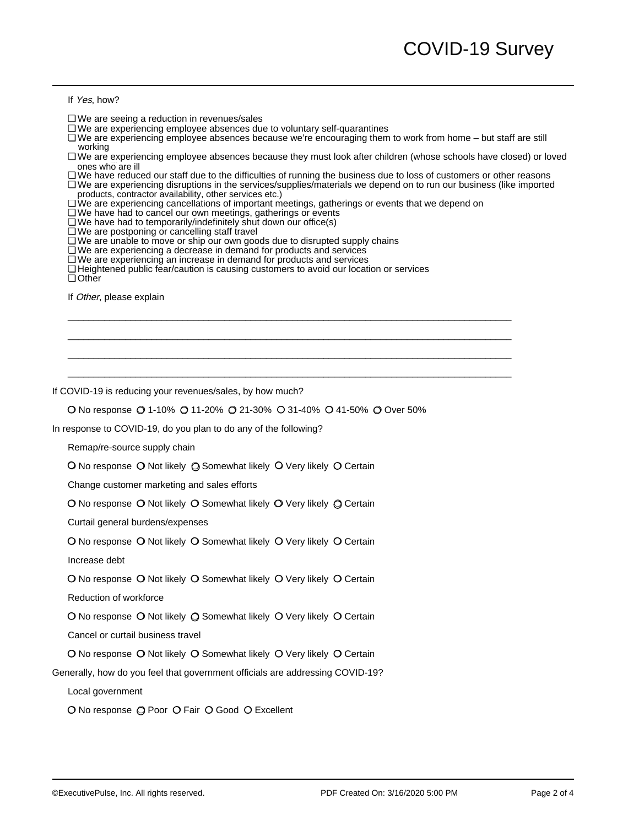If Yes, how?

- ❏ We are seeing a reduction in revenues/sales
- ❏ We are experiencing employee absences due to voluntary self-quarantines
- ❏ We are experiencing employee absences because we're encouraging them to work from home but staff are still working working
- ❏ We are experiencing employee absences because they must look after children (whose schools have closed) or loved ones who are ill ones who are ill
	- ❏ We have reduced our staff due to the difficulties of running the business due to loss of customers or other reasons
- ❏ We are experiencing disruptions in the services/supplies/materials we depend on to run our business (like imported products, contractor availability, other services etc.) products, contractor availability, other services etc.)
	- ❏ We are experiencing cancellations of important meetings, gatherings or events that we depend on

 $\_$  . The contribution of the contribution of the contribution of the contribution of  $\mathcal{L}_1$  $\_$  . The contribution of the contribution of the contribution of the contribution of  $\mathcal{L}_1$  $\_$  . The contribution of the contribution of the contribution of the contribution of  $\mathcal{L}_1$  $\_$  . The contribution of the contribution of the contribution of the contribution of  $\mathcal{L}_1$ 

- ❏ We have had to cancel our own meetings, gatherings or events
- ❏ We have had to temporarily/indefinitely shut down our office(s)
- ❏ We are postponing or cancelling staff travel
- ❏ We are unable to move or ship our own goods due to disrupted supply chains
- ❏ We are experiencing a decrease in demand for products and services
- ❏ We are experiencing an increase in demand for products and services
- ❏ Heightened public fear/caution is causing customers to avoid our location or services

❏ Other

If Other, please explain

If COVID-19 is reducing your revenues/sales, by how much?

❍ No response ❍ 1-10% ❍ 11-20% ❍ 21-30% ❍ 31-40% ❍ 41-50% ❍ Over 50%

In response to COVID-19, do you plan to do any of the following?

Remap/re-source supply chain

❍ No response ❍ Not likely ❍ Somewhat likely ❍ Very likely ❍ Certain

Change customer marketing and sales efforts

❍ No response ❍ Not likely ❍ Somewhat likely ❍ Very likely ❍ Certain

Curtail general burdens/expenses

O No response O Not likely O Somewhat likely O Very likely O Certain

Increase debt

O No response O Not likely O Somewhat likely O Very likely O Certain

Reduction of workforce

❍ No response ❍ Not likely ❍ Somewhat likely ❍ Very likely ❍ Certain

Cancel or curtail business travel

O No response O Not likely O Somewhat likely O Very likely O Certain

Generally, how do you feel that government officials are addressing COVID-19?

Local government

O No response  $\bigcirc$  Poor  $\bigcirc$  Fair  $\bigcirc$  Good  $\bigcirc$  Excellent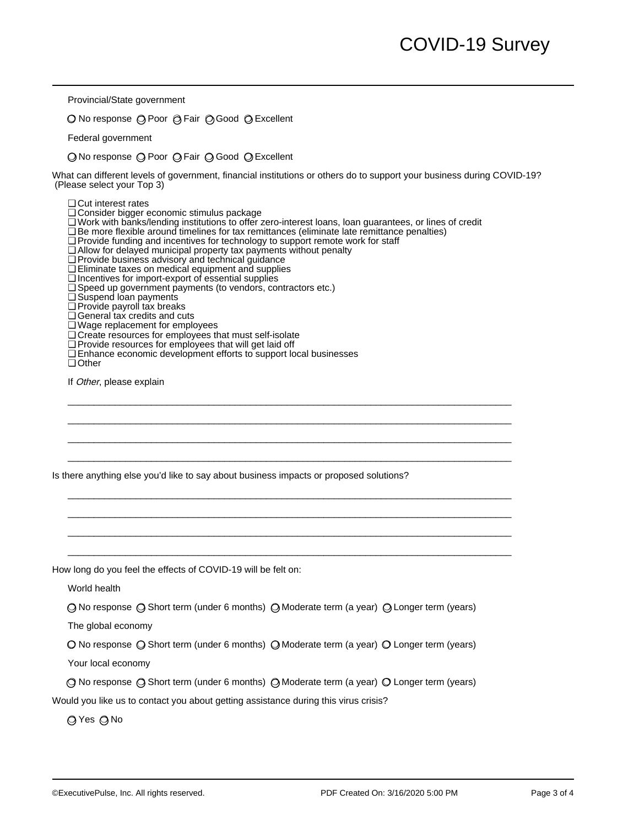Provincial/State government

O No response (O Poor O Fair O Good O Excellent

Federal government

❍ No response ❍ Poor ❍ Fair ❍ Good ❍ Excellent

What can different levels of government, financial institutions or others do to support your business during COVID-19? (Please select your Top 3)

❏ Cut interest rates

- ❏ Consider bigger economic stimulus package
- ❏ Work with banks/lending institutions to offer zero-interest loans, loan guarantees, or lines of credit

 $\_$  . The contribution of the contribution of the contribution of the contribution of  $\mathcal{L}_1$  $\_$  . The contribution of the contribution of the contribution of the contribution of  $\mathcal{L}_1$  $\_$  . The contribution of the contribution of the contribution of the contribution of  $\mathcal{L}_1$  $\_$  . The contribution of the contribution of the contribution of the contribution of  $\mathcal{L}_1$ 

 $\_$  . The contribution of the contribution of the contribution of the contribution of  $\mathcal{L}_1$  $\_$  . The contribution of the contribution of the contribution of the contribution of  $\mathcal{L}_1$  $\_$  . The contribution of the contribution of the contribution of the contribution of  $\mathcal{L}_1$  $\_$  . The contribution of the contribution of the contribution of the contribution of  $\mathcal{L}_1$ 

- ❏ Be more flexible around timelines for tax remittances (eliminate late remittance penalties)
- ❏ Provide funding and incentives for technology to support remote work for staff
- ❏ Allow for delayed municipal property tax payments without penalty
- ❏ Provide business advisory and technical guidance
- ❏ Eliminate taxes on medical equipment and supplies
- ❏ Incentives for import-export of essential supplies
- ❏ Speed up government payments (to vendors, contractors etc.)
- ❏ Suspend loan payments
- ❏ Provide payroll tax breaks
- ❏ General tax credits and cuts
- ❏ Wage replacement for employees
- ❏ Create resources for employees that must self-isolate
- ❏ Provide resources for employees that will get laid off
- ❏ Enhance economic development efforts to support local businesses

❏ Other

If Other, please explain

Is there anything else you'd like to say about business impacts or proposed solutions?

How long do you feel the effects of COVID-19 will be felt on:

World health

❍ No response ❍ Short term (under 6 months) ❍ Moderate term (a year) ❍ Longer term (years)

The global economy

❍ No response ❍ Short term (under 6 months) ❍ Moderate term (a year) ❍ Longer term (years)

Your local economy

❍ No response ❍ Short term (under 6 months) ❍ Moderate term (a year) ❍ Longer term (years)

Would you like us to contact you about getting assistance during this virus crisis?

❍ Yes ❍ No